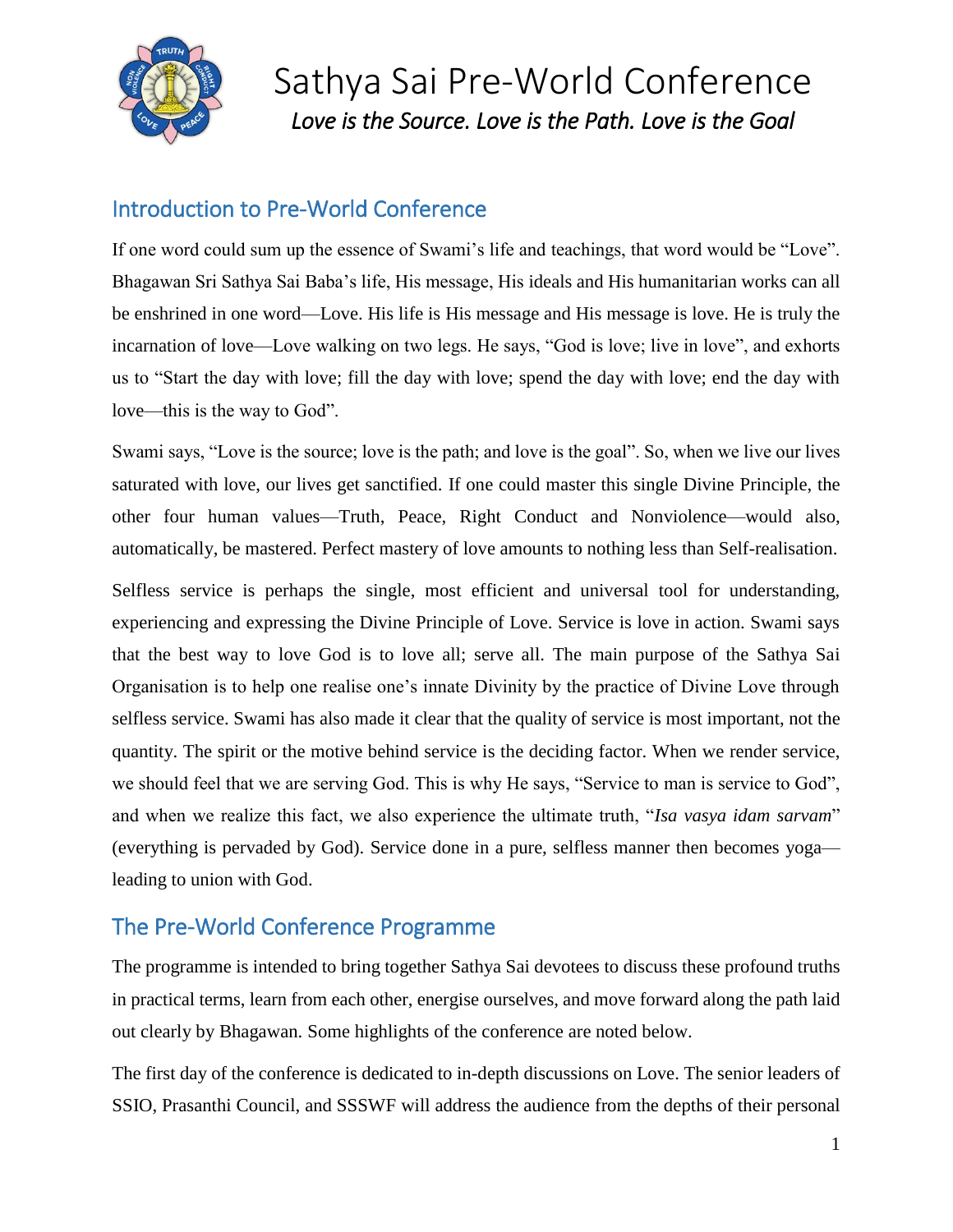

Sathya Sai Pre-World Conference *Love is the Source. Love is the Path. Love is the Goal* 

## Introduction to Pre-World Conference

If one word could sum up the essence of Swami's life and teachings, that word would be "Love". Bhagawan Sri Sathya Sai Baba's life, His message, His ideals and His humanitarian works can all be enshrined in one word—Love. His life is His message and His message is love. He is truly the incarnation of love—Love walking on two legs. He says, "God is love; live in love", and exhorts us to "Start the day with love; fill the day with love; spend the day with love; end the day with love—this is the way to God".

Swami says, "Love is the source; love is the path; and love is the goal". So, when we live our lives saturated with love, our lives get sanctified. If one could master this single Divine Principle, the other four human values—Truth, Peace, Right Conduct and Nonviolence—would also, automatically, be mastered. Perfect mastery of love amounts to nothing less than Self-realisation.

Selfless service is perhaps the single, most efficient and universal tool for understanding, experiencing and expressing the Divine Principle of Love. Service is love in action. Swami says that the best way to love God is to love all; serve all. The main purpose of the Sathya Sai Organisation is to help one realise one's innate Divinity by the practice of Divine Love through selfless service. Swami has also made it clear that the quality of service is most important, not the quantity. The spirit or the motive behind service is the deciding factor. When we render service, we should feel that we are serving God. This is why He says, "Service to man is service to God", and when we realize this fact, we also experience the ultimate truth, "*Isa vasya idam sarvam*" (everything is pervaded by God). Service done in a pure, selfless manner then becomes yoga leading to union with God.

## The Pre-World Conference Programme

The programme is intended to bring together Sathya Sai devotees to discuss these profound truths in practical terms, learn from each other, energise ourselves, and move forward along the path laid out clearly by Bhagawan. Some highlights of the conference are noted below.

The first day of the conference is dedicated to in-depth discussions on Love. The senior leaders of SSIO, Prasanthi Council, and SSSWF will address the audience from the depths of their personal